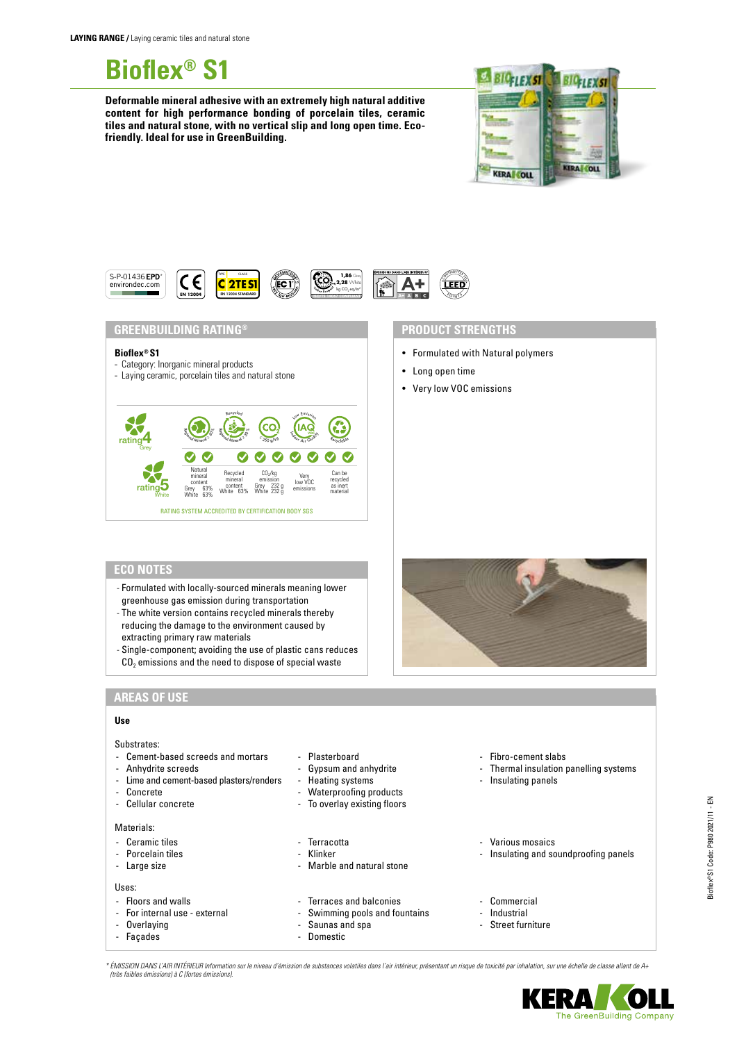**Bioflex® S1**

**Deformable mineral adhesive with an extremely high natural additive content for high performance bonding of porcelain tiles, ceramic tiles and natural stone, with no vertical slip and long open time. Ecofriendly. Ideal for use in GreenBuilding.**





**GREENBUILDING RATING®**

#### **Bioflex® S1**

- Category: Inorganic mineral products
- Laying ceramic, porcelain tiles and natural stone



### **PRODUCT STRENGTHS**

- Formulated with Natural polymers
- Long open time
- Very low VOC emissions

# **ECO NOTES**

- Formulated with locally-sourced minerals meaning lower greenhouse gas emission during transportation
- The white version contains recycled minerals thereby reducing the damage to the environment caused by extracting primary raw materials
- Single-component; avoiding the use of plastic cans reduces  $CO<sub>2</sub>$  emissions and the need to dispose of special waste



## **AREAS OF USE**

### **Use**

| Substrates:<br>- Cement-based screeds and mortars<br>- Anhydrite screeds<br>- Lime and cement-based plasters/renders<br>- Concrete<br>- Cellular concrete | - Plasterboard<br>- Gypsum and anhydrite<br>- Heating systems<br>- Waterproofing products<br>- To overlay existing floors | - Fibro-cement slabs<br>- Thermal insulation panelling systems<br>- Insulating panels |
|-----------------------------------------------------------------------------------------------------------------------------------------------------------|---------------------------------------------------------------------------------------------------------------------------|---------------------------------------------------------------------------------------|
| Materials:<br>- Ceramic tiles<br>- Porcelain tiles<br>- Large size                                                                                        | - Terracotta<br>- Klinker<br>- Marble and natural stone                                                                   | - Various mosaics<br>Insulating and soundproofing panels<br>$\overline{\phantom{a}}$  |
| Uses:<br>- Floors and walls<br>- For internal use - external<br>- Overlaying<br>- Facades                                                                 | - Terraces and balconies<br>- Swimming pools and fountains<br>- Saunas and spa<br>Domestic<br>$\overline{\phantom{0}}$    | - Commercial<br>Industrial<br>$\overline{\phantom{a}}$<br>- Street furniture          |

*\* ÉMISSION DANS L'AIR INTÉRIEUR Information sur le niveau d'émission de substances volatiles dans l'air intérieur, présentant un risque de toxicité par inhalation, sur une échelle de classe allant de A+ (très faibles émissions) à C (fortes émissions).*



The GreenBuilding Company

ERA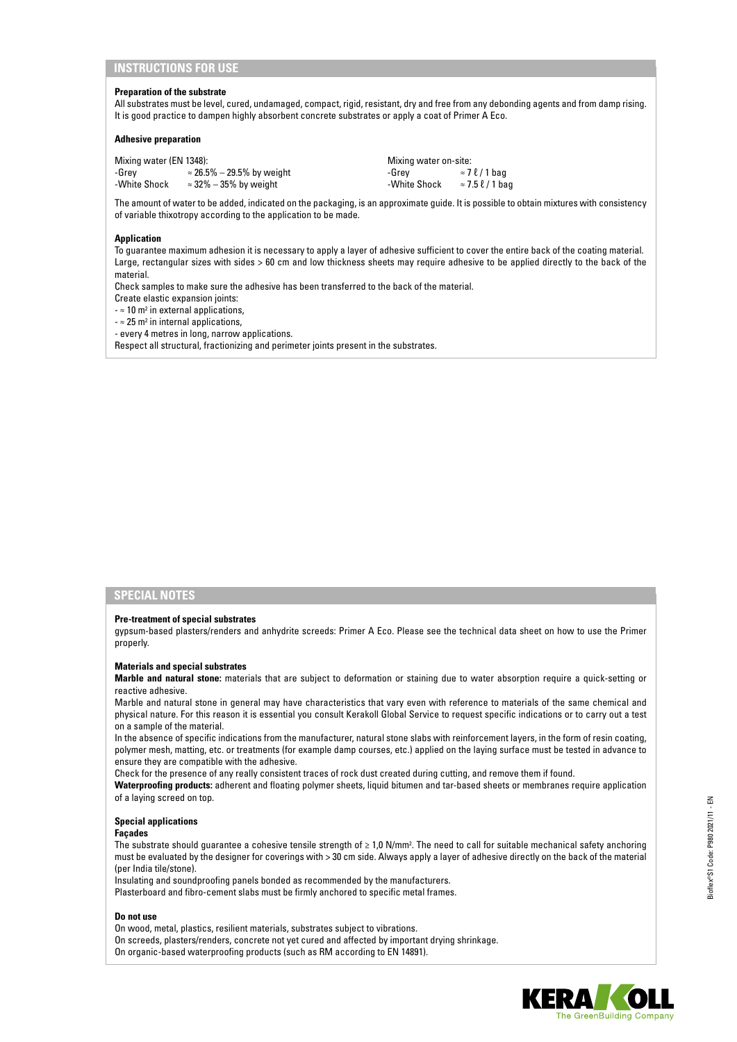## **INSTRUCTIONS FOR USE**

#### **Preparation of the substrate**

All substrates must be level, cured, undamaged, compact, rigid, resistant, dry and free from any debonding agents and from damp rising. It is good practice to dampen highly absorbent concrete substrates or apply a coat of Primer A Eco.

#### **Adhesive preparation**

| Mixing water (EN 1348): |                                   | Mixing water on-site: |                              |
|-------------------------|-----------------------------------|-----------------------|------------------------------|
| -Grev                   | $\approx$ 26.5% – 29.5% by weight | -Grev                 | $\approx$ 7 $\ell$ / 1 bag   |
| -White Shock            | $\approx$ 32% – 35% by weight     | -White Shock          | $\approx$ 7.5 $\ell$ / 1 bag |

The amount of water to be added, indicated on the packaging, is an approximate guide. It is possible to obtain mixtures with consistency of variable thixotropy according to the application to be made.

#### **Application**

To guarantee maximum adhesion it is necessary to apply a layer of adhesive sufficient to cover the entire back of the coating material. Large, rectangular sizes with sides > 60 cm and low thickness sheets may require adhesive to be applied directly to the back of the material.

Check samples to make sure the adhesive has been transferred to the back of the material.

Create elastic expansion joints:

 $\approx$  10 m<sup>2</sup> in external applications,

 $\approx$  25 m<sup>2</sup> in internal applications,

- every 4 metres in long, narrow applications.

Respect all structural, fractionizing and perimeter joints present in the substrates.

## **SPECIAL NOTES**

#### **Pre-treatment of special substrates**

gypsum-based plasters/renders and anhydrite screeds: Primer A Eco. Please see the technical data sheet on how to use the Primer properly.

#### **Materials and special substrates**

**Marble and natural stone:** materials that are subject to deformation or staining due to water absorption require a quick-setting or reactive adhesive.

Marble and natural stone in general may have characteristics that vary even with reference to materials of the same chemical and physical nature. For this reason it is essential you consult Kerakoll Global Service to request specific indications or to carry out a test on a sample of the material.

In the absence of specific indications from the manufacturer, natural stone slabs with reinforcement layers, in the form of resin coating, polymer mesh, matting, etc. or treatments (for example damp courses, etc.) applied on the laying surface must be tested in advance to ensure they are compatible with the adhesive.

Check for the presence of any really consistent traces of rock dust created during cutting, and remove them if found.

**Waterproofing products:** adherent and floating polymer sheets, liquid bitumen and tar-based sheets or membranes require application of a laying screed on top.

#### **Special applications**

#### **Façades**

The substrate should guarantee a cohesive tensile strength of ≥ 1,0 N/mm². The need to call for suitable mechanical safety anchoring must be evaluated by the designer for coverings with > 30 cm side. Always apply a layer of adhesive directly on the back of the material (per India tile/stone).

Insulating and soundproofing panels bonded as recommended by the manufacturers.

Plasterboard and fibro-cement slabs must be firmly anchored to specific metal frames.

#### **Do not use**

- On wood, metal, plastics, resilient materials, substrates subject to vibrations.
- On screeds, plasters/renders, concrete not yet cured and affected by important drying shrinkage.
- On organic-based waterproofing products (such as RM according to EN 14891).

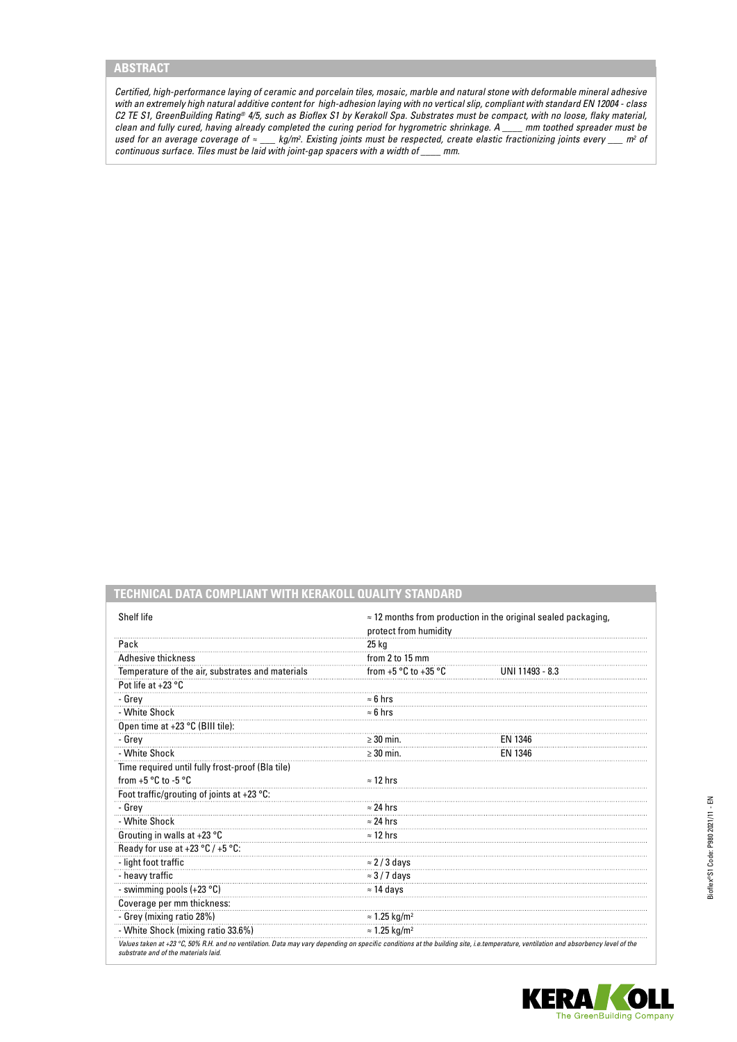# **ABSTRACT**

*Certified, high-performance laying of ceramic and porcelain tiles, mosaic, marble and natural stone with deformable mineral adhesive with an extremely high natural additive content for high-adhesion laying with no vertical slip, compliant with standard EN 12004 - class C2 TE S1, GreenBuilding Rating® 4/5, such as Bioflex S1 by Kerakoll Spa. Substrates must be compact, with no loose, flaky material, clean and fully cured, having already completed the curing period for hygrometric shrinkage. A \_\_\_\_ mm toothed spreader must be used for an average coverage of ≈ \_\_\_ kg/m2 . Existing joints must be respected, create elastic fractionizing joints every \_\_\_ m2 of continuous surface. Tiles must be laid with joint-gap spacers with a width of \_\_\_\_ mm.*

**TECHNICAL DATA COMPLIANT WITH KERAKOLL QUALITY STANDARD**

| Shelf life                                           | $\approx$ 12 months from production in the original sealed packaging,<br>protect from humidity |                 |
|------------------------------------------------------|------------------------------------------------------------------------------------------------|-----------------|
| Pack                                                 | 25 kg                                                                                          |                 |
| <b>Adhesive thickness</b>                            | from 2 to 15 mm                                                                                |                 |
| Temperature of the air, substrates and materials     | from $+5 °C$ to $+35 °C$                                                                       | UNI 11493 - 8.3 |
| Pot life at +23 °C                                   |                                                                                                |                 |
| - Grey                                               | $\approx 6$ hrs                                                                                |                 |
| - White Shock                                        | $\approx$ 6 hrs                                                                                |                 |
| Open time at +23 °C (BIII tile):                     |                                                                                                |                 |
| - Grey                                               | $\geq$ 30 min.                                                                                 | EN 1346         |
| - White Shock                                        | $\geq$ 30 min.                                                                                 | EN 1346         |
| Time required until fully frost-proof (Bla tile)     |                                                                                                |                 |
| from $+5$ °C to $-5$ °C                              | $\approx$ 12 hrs                                                                               |                 |
| Foot traffic/grouting of joints at +23 $^{\circ}$ C: |                                                                                                |                 |
| - Grev                                               | $\approx$ 24 hrs                                                                               |                 |
| - White Shock                                        | $\approx$ 24 hrs                                                                               |                 |
| Grouting in walls at +23 °C                          | $\approx$ 12 hrs                                                                               |                 |
| Ready for use at +23 $^{\circ}$ C / +5 $^{\circ}$ C: |                                                                                                |                 |
| - light foot traffic                                 | $\approx$ 2/3 days                                                                             |                 |
| - heavy traffic                                      | $\approx$ 3/7 days                                                                             |                 |
| - swimming pools (+23 °C)                            | $\approx$ 14 days                                                                              |                 |
| Coverage per mm thickness:                           |                                                                                                |                 |
| - Grey (mixing ratio 28%)                            | $\approx$ 1.25 kg/m <sup>2</sup>                                                               |                 |
| - White Shock (mixing ratio 33.6%)                   | $\approx$ 1.25 kg/m <sup>2</sup>                                                               |                 |